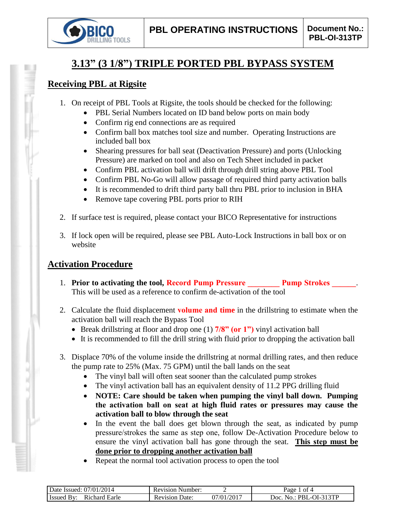

# **3.13" (3 1/8") TRIPLE PORTED PBL BYPASS SYSTEM**

### **Receiving PBL at Rigsite**

- 1. On receipt of PBL Tools at Rigsite, the tools should be checked for the following:
	- PBL Serial Numbers located on ID band below ports on main body
	- Confirm rig end connections are as required
	- Confirm ball box matches tool size and number. Operating Instructions are included ball box
	- Shearing pressures for ball seat (Deactivation Pressure) and ports (Unlocking Pressure) are marked on tool and also on Tech Sheet included in packet
	- Confirm PBL activation ball will drift through drill string above PBL Tool
	- Confirm PBL No-Go will allow passage of required third party activation balls
	- It is recommended to drift third party ball thru PBL prior to inclusion in BHA
	- Remove tape covering PBL ports prior to RIH
- 2. If surface test is required, please contact your BICO Representative for instructions
- 3. If lock open will be required, please see PBL Auto-Lock Instructions in ball box or on website

# **Activation Procedure**

- 1. **Prior to activating the tool, Record Pump Pressure Pump Strokes 2014** This will be used as a reference to confirm de-activation of the tool
- 2. Calculate the fluid displacement **volume and time** in the drillstring to estimate when the activation ball will reach the Bypass Tool
	- Break drillstring at floor and drop one (1) **7/8" (or 1")** vinyl activation ball
	- It is recommended to fill the drill string with fluid prior to dropping the activation ball
- 3. Displace 70% of the volume inside the drillstring at normal drilling rates, and then reduce the pump rate to 25% (Max. 75 GPM) until the ball lands on the seat
	- The vinyl ball will often seat sooner than the calculated pump strokes
	- The vinyl activation ball has an equivalent density of 11.2 PPG drilling fluid
	- **NOTE: Care should be taken when pumping the vinyl ball down. Pumping the activation ball on seat at high fluid rates or pressures may cause the activation ball to blow through the seat**
	- In the event the ball does get blown through the seat, as indicated by pump pressure/strokes the same as step one, follow De-Activation Procedure below to ensure the vinyl activation ball has gone through the seat. **This step must be done prior to dropping another activation ball**
	- Repeat the normal tool activation process to open the tool

| 2014<br>07/01/<br>Date -<br>- Issued:          | Number:<br>Revision    |               | nt 4<br>Раое                    |
|------------------------------------------------|------------------------|---------------|---------------------------------|
| Earle<br>ıchard<br>- Issued<br>R <sub>10</sub> | Date:<br>evision<br>ĸι | /2017<br>7/01 | JOC<br>PRI<br>$\mathbf{a}$<br>. |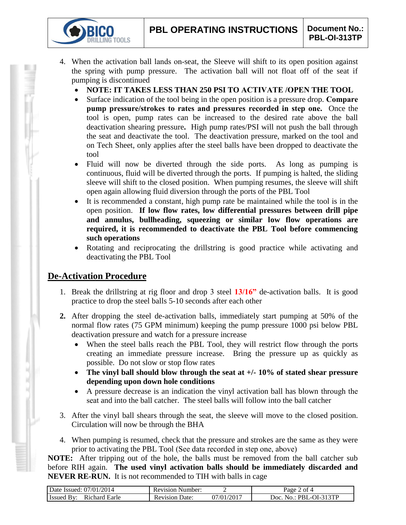- 4. When the activation ball lands on-seat, the Sleeve will shift to its open position against the spring with pump pressure. The activation ball will not float off of the seat if pumping is discontinued
	- **NOTE: IT TAKES LESS THAN 250 PSI TO ACTIVATE /OPEN THE TOOL**
	- Surface indication of the tool being in the open position is a pressure drop. **Compare pump pressure/strokes to rates and pressures recorded in step one.** Once the tool is open, pump rates can be increased to the desired rate above the ball deactivation shearing pressure**.** High pump rates/PSI will not push the ball through the seat and deactivate the tool. The deactivation pressure, marked on the tool and on Tech Sheet, only applies after the steel balls have been dropped to deactivate the tool
	- Fluid will now be diverted through the side ports. As long as pumping is continuous, fluid will be diverted through the ports. If pumping is halted, the sliding sleeve will shift to the closed position. When pumping resumes, the sleeve will shift open again allowing fluid diversion through the ports of the PBL Tool
	- It is recommended a constant, high pump rate be maintained while the tool is in the open position. **If low flow rates, low differential pressures between drill pipe and annulus, bullheading, squeezing or similar low flow operations are required, it is recommended to deactivate the PBL Tool before commencing such operations**
	- Rotating and reciprocating the drillstring is good practice while activating and deactivating the PBL Tool

# **De-Activation Procedure**

**TOOLS** 

- 1. Break the drillstring at rig floor and drop 3 steel **13/16"** de-activation balls. It is good practice to drop the steel balls 5-10 seconds after each other
- **2.** After dropping the steel de-activation balls, immediately start pumping at 50% of the normal flow rates (75 GPM minimum) keeping the pump pressure 1000 psi below PBL deactivation pressure and watch for a pressure increase
	- When the steel balls reach the PBL Tool, they will restrict flow through the ports creating an immediate pressure increase. Bring the pressure up as quickly as possible. Do not slow or stop flow rates
	- **The vinyl ball should blow through the seat at +/- 10% of stated shear pressure depending upon down hole conditions**
	- A pressure decrease is an indication the vinyl activation ball has blown through the seat and into the ball catcher. The steel balls will follow into the ball catcher
- 3. After the vinyl ball shears through the seat, the sleeve will move to the closed position. Circulation will now be through the BHA
- 4. When pumping is resumed, check that the pressure and strokes are the same as they were prior to activating the PBL Tool (See data recorded in step one, above)

**NOTE:** After tripping out of the hole, the balls must be removed from the ball catcher sub before RIH again. **The used vinyl activation balls should be immediately discarded and NEVER RE-RUN.** It is not recommended to TIH with balls in cage

| Date Issued: 07/01/2014            | <b>Revision Number:</b> |                         | $\angle$ of 4<br>$\log_e$    |
|------------------------------------|-------------------------|-------------------------|------------------------------|
| <b>Issued By:</b><br>Richard Earle | Date:<br>Revision       | .)7/01/201 <sup>-</sup> | PBL-OI-313TP<br>Doc.<br>No.: |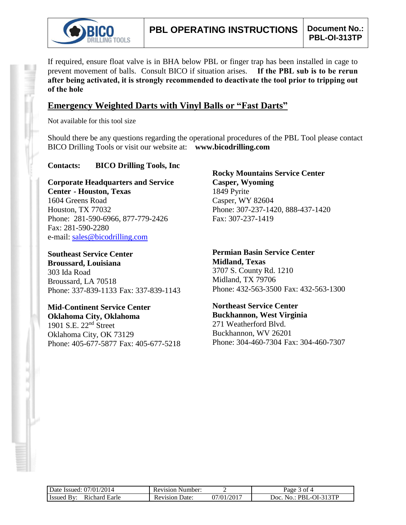

If required, ensure float valve is in BHA below PBL or finger trap has been installed in cage to prevent movement of balls. Consult BICO if situation arises. **If the PBL sub is to be rerun after being activated, it is strongly recommended to deactivate the tool prior to tripping out of the hole**

### **Emergency Weighted Darts with Vinyl Balls or "Fast Darts"**

Not available for this tool size

Should there be any questions regarding the operational procedures of the PBL Tool please contact BICO Drilling Tools or visit our website at: **www.bicodrilling.com**

#### **Contacts: BICO Drilling Tools, Inc**

**Corporate Headquarters and Service Center - Houston, Texas** 1604 Greens Road Houston, TX 77032 Phone: 281-590-6966, 877-779-2426 Fax: 281-590-2280 e-mail: [sales@bicodrilling.com](mailto:sales@bicodrilling.com)

**Southeast Service Center Broussard, Louisiana** 303 Ida Road Broussard, LA 70518 Phone: 337-839-1133 Fax: 337-839-1143

**Mid-Continent Service Center Oklahoma City, Oklahoma** 1901 S.E. 22nd Street Oklahoma City, OK 73129 Phone: 405-677-5877 Fax: 405-677-5218

**Rocky Mountains Service Center Casper, Wyoming** 1849 Pyrite Casper, WY 82604 Phone: 307-237-1420, 888-437-1420 Fax: 307-237-1419

**Permian Basin Service Center Midland, Texas** 3707 S. County Rd. 1210 Midland, TX 79706 Phone: 432-563-3500 Fax: 432-563-1300

**Northeast Service Center Buckhannon, West Virginia** 271 Weatherford Blvd. Buckhannon, WV 26201 Phone: 304-460-7304 Fax: 304-460-7307

| Date Issued: 07/01/2014                  | <b>Revision Number:</b> |            | 3 of 4<br>Page                 |
|------------------------------------------|-------------------------|------------|--------------------------------|
| <b>Issued By</b><br>Richard Earle<br>Rv. | Revision Date:          | 07/01/2017 | $No.: PBL-OI-313TP$<br>$20c$ . |